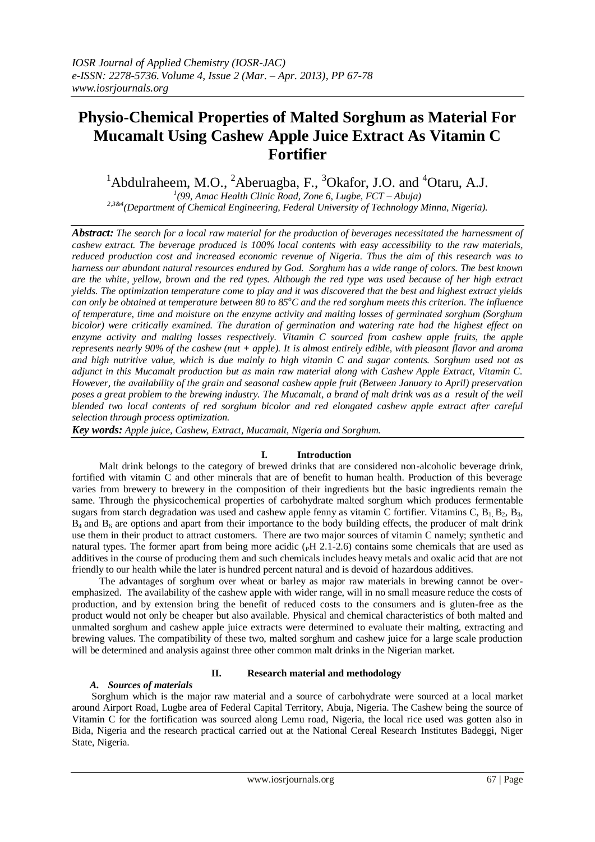# **Physio-Chemical Properties of Malted Sorghum as Material For Mucamalt Using Cashew Apple Juice Extract As Vitamin C Fortifier**

<sup>1</sup>Abdulraheem, M.O., <sup>2</sup>Aberuagba, F., <sup>3</sup>Okafor, J.O. and <sup>4</sup>Otaru, A.J. *1 (99, Amac Health Clinic Road, Zone 6, Lugbe, FCT – Abuja)* 

*2,3&4(Department of Chemical Engineering, Federal University of Technology Minna, Nigeria).*

*Abstract: The search for a local raw material for the production of beverages necessitated the harnessment of cashew extract. The beverage produced is 100% local contents with easy accessibility to the raw materials, reduced production cost and increased economic revenue of Nigeria. Thus the aim of this research was to harness our abundant natural resources endured by God. Sorghum has a wide range of colors. The best known are the white, yellow, brown and the red types. Although the red type was used because of her high extract yields. The optimization temperature come to play and it was discovered that the best and highest extract yields can only be obtained at temperature between 80 to 85<sup>o</sup>C and the red sorghum meets this criterion. The influence of temperature, time and moisture on the enzyme activity and malting losses of germinated sorghum (Sorghum bicolor) were critically examined. The duration of germination and watering rate had the highest effect on enzyme activity and malting losses respectively. Vitamin C sourced from cashew apple fruits, the apple represents nearly 90% of the cashew (nut + apple). It is almost entirely edible, with pleasant flavor and aroma and high nutritive value, which is due mainly to high vitamin C and sugar contents. Sorghum used not as adjunct in this Mucamalt production but as main raw material along with Cashew Apple Extract, Vitamin C. However, the availability of the grain and seasonal cashew apple fruit (Between January to April) preservation poses a great problem to the brewing industry. The Mucamalt, a brand of malt drink was as a result of the well blended two local contents of red sorghum bicolor and red elongated cashew apple extract after careful selection through process optimization.*

*Key words: Apple juice, Cashew, Extract, Mucamalt, Nigeria and Sorghum.*

#### **I. Introduction**

 Malt drink belongs to the category of brewed drinks that are considered non-alcoholic beverage drink, fortified with vitamin C and other minerals that are of benefit to human health. Production of this beverage varies from brewery to brewery in the composition of their ingredients but the basic ingredients remain the same. Through the physicochemical properties of carbohydrate malted sorghum which produces fermentable sugars from starch degradation was used and cashew apple fenny as vitamin C fortifier. Vitamins C,  $B_1, B_2, B_3$ ,  $B_4$  and  $B_6$  are options and apart from their importance to the body building effects, the producer of malt drink use them in their product to attract customers. There are two major sources of vitamin C namely; synthetic and natural types. The former apart from being more acidic  $(pH 2.1-2.6)$  contains some chemicals that are used as additives in the course of producing them and such chemicals includes heavy metals and oxalic acid that are not friendly to our health while the later is hundred percent natural and is devoid of hazardous additives.

 The advantages of sorghum over wheat or barley as major raw materials in brewing cannot be overemphasized. The availability of the cashew apple with wider range, will in no small measure reduce the costs of production, and by extension bring the benefit of reduced costs to the consumers and is gluten-free as the product would not only be cheaper but also available. Physical and chemical characteristics of both malted and unmalted sorghum and cashew apple juice extracts were determined to evaluate their malting, extracting and brewing values. The compatibility of these two, malted sorghum and cashew juice for a large scale production will be determined and analysis against three other common malt drinks in the Nigerian market.

## *A. Sources of materials*

#### **II. Research material and methodology**

 Sorghum which is the major raw material and a source of carbohydrate were sourced at a local market around Airport Road, Lugbe area of Federal Capital Territory, Abuja, Nigeria. The Cashew being the source of Vitamin C for the fortification was sourced along Lemu road, Nigeria, the local rice used was gotten also in Bida, Nigeria and the research practical carried out at the National Cereal Research Institutes Badeggi, Niger State, Nigeria.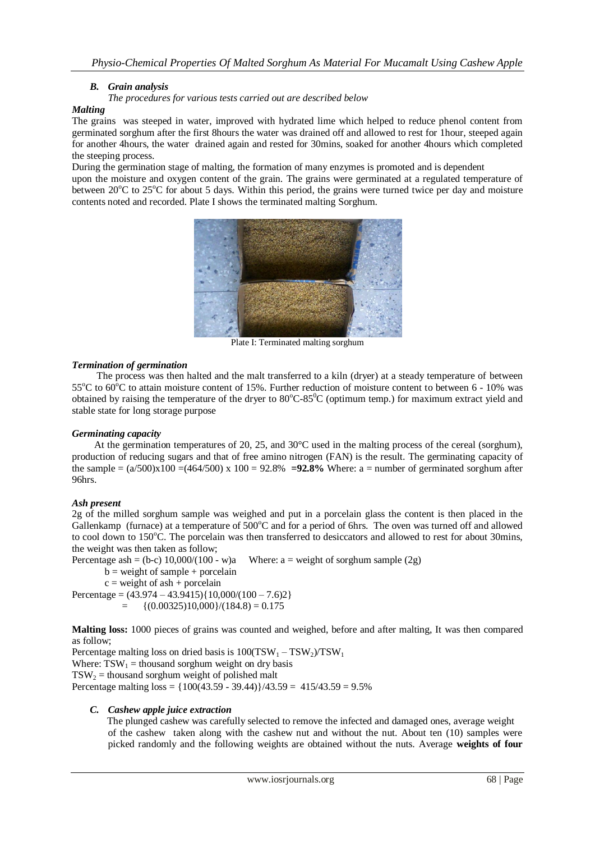## *B. Grain analysis*

*The procedures for various tests carried out are described below*

#### *Malting*

The grains was steeped in water, improved with hydrated lime which helped to reduce phenol content from germinated sorghum after the first 8hours the water was drained off and allowed to rest for 1hour, steeped again for another 4hours, the water drained again and rested for 30mins, soaked for another 4hours which completed the steeping process.

During the germination stage of malting, the formation of many enzymes is promoted and is dependent upon the moisture and oxygen content of the grain. The grains were germinated at a regulated temperature of between  $20^{\circ}$ C to  $25^{\circ}$ C for about 5 days. Within this period, the grains were turned twice per day and moisture contents noted and recorded. Plate I shows the terminated malting Sorghum.



Plate I: Terminated malting sorghum

#### *Termination of germination*

 The process was then halted and the malt transferred to a kiln (dryer) at a steady temperature of between 55 $^{\circ}$ C to 60 $^{\circ}$ C to attain moisture content of 15%. Further reduction of moisture content to between 6 - 10% was obtained by raising the temperature of the dryer to  $80^{\circ}$ C-85<sup> $\circ$ </sup>C (optimum temp.) for maximum extract yield and stable state for long storage purpose

## *Germinating capacity*

 At the germination temperatures of 20, 25, and 30°C used in the malting process of the cereal (sorghum), production of reducing sugars and that of free amino nitrogen (FAN) is the result. The germinating capacity of the sample  $=(a/500)x100 = (464/500)x100 = 92.8\% = 92.8\%$  Where: a = number of germinated sorghum after 96hrs.

## *Ash present*

2g of the milled sorghum sample was weighed and put in a porcelain glass the content is then placed in the Gallenkamp (furnace) at a temperature of 500°C and for a period of 6hrs. The oven was turned off and allowed to cool down to 150°C. The porcelain was then transferred to desiccators and allowed to rest for about 30mins, the weight was then taken as follow;

Percentage ash = (b-c)  $10,000/(100 - w)a$  Where: a = weight of sorghum sample (2g)

 $b = weight of sample + porcelain$ 

 $c = weight of ash + porcelain$ 

Percentage =  $(43.974 - 43.9415)\{10,000/(100 - 7.6)2\}$  ${(0.00325)10,000}/(184.8) = 0.175$ 

**Malting loss:** 1000 pieces of grains was counted and weighed, before and after malting, It was then compared as follow;

Percentage malting loss on dried basis is  $100(TSW_1 - TSW_2)/TSW_1$ Where:  $TSW_1$  = thousand sorghum weight on dry basis  $TSW<sub>2</sub>$  = thousand sorghum weight of polished malt Percentage malting  $loss = \{100(43.59 - 39.44)\}/43.59 = 415/43.59 = 9.5\%$ 

## *C. Cashew apple juice extraction*

The plunged cashew was carefully selected to remove the infected and damaged ones, average weight of the cashew taken along with the cashew nut and without the nut. About ten (10) samples were picked randomly and the following weights are obtained without the nuts. Average **weights of four**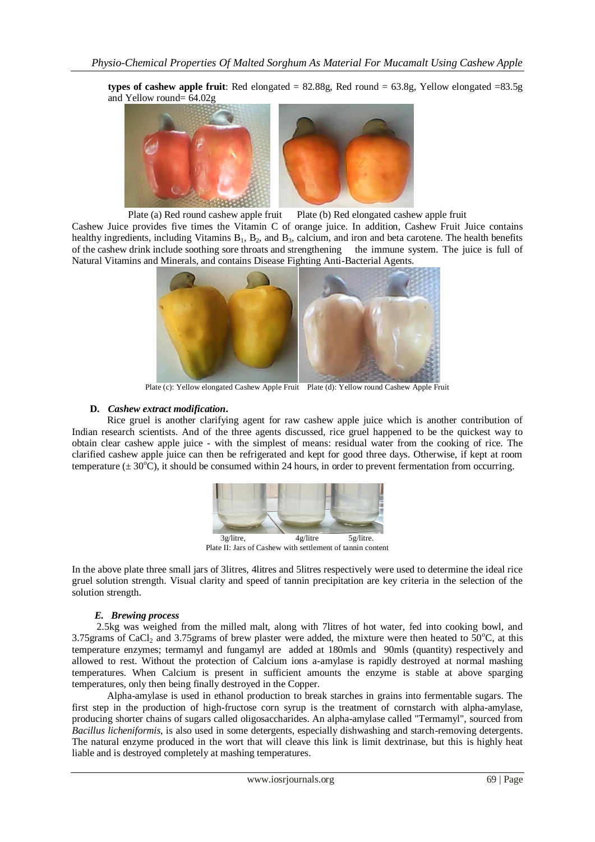**types of cashew apple fruit:** Red elongated  $= 82.88g$ , Red round  $= 63.8g$ , Yellow elongated  $= 83.5g$ and Yellow round=  $64.02g$ 



Plate (a) Red round cashew apple fruit Plate (b) Red elongated cashew apple fruit

Cashew Juice provides five times the Vitamin C of orange juice. In addition, Cashew Fruit Juice contains healthy ingredients, including Vitamins  $B_1$ ,  $B_2$ , and  $B_3$ , calcium, and iron and beta carotene. The health benefits of the cashew drink include soothing sore throats and strengthening the immune system. The juice is full of Natural Vitamins and Minerals, and contains Disease Fighting Anti-Bacterial Agents.



Plate (c): Yellow elongated Cashew Apple Fruit Plate (d): Yellow round Cashew Apple Fruit

#### **D.** *Cashew extract modification***.**

Rice gruel is another clarifying agent for raw cashew apple juice which is another contribution of Indian research scientists. And of the three agents discussed, rice gruel happened to be the quickest way to obtain clear cashew apple juice - with the simplest of means: residual water from the cooking of rice. The clarified cashew apple juice can then be refrigerated and kept for good three days. Otherwise, if kept at room temperature  $(\pm 30^{\circ}\text{C})$ , it should be consumed within 24 hours, in order to prevent fermentation from occurring.



Plate II: Jars of Cashew with settlement of tannin content

In the above plate three small jars of 3litres, 4litres and 5litres respectively were used to determine the ideal rice gruel solution strength. Visual clarity and speed of tannin precipitation are key criteria in the selection of the solution strength.

#### *E. Brewing process*

 2.5kg was weighed from the milled malt, along with 7litres of hot water, fed into cooking bowl, and 3.75grams of CaCl<sub>2</sub> and 3.75grams of brew plaster were added, the mixture were then heated to  $50^{\circ}$ C, at this temperature enzymes; termamyl and fungamyl are added at 180mls and 90mls (quantity) respectively and allowed to rest. Without the protection of Calcium ions a-amylase is rapidly destroyed at normal mashing temperatures. When Calcium is present in sufficient amounts the enzyme is stable at above sparging temperatures, only then being finally destroyed in the Copper.

Alpha-amylase is used in ethanol production to break starches in grains into fermentable sugars. The first step in the production of [high-fructose corn syrup](http://en.wikipedia.org/wiki/High-fructose_corn_syrup) is the treatment of [cornstarch](http://en.wikipedia.org/wiki/Cornstarch) with alpha-amylase, producing shorter chains of sugars called [oligosaccharides.](http://en.wikipedia.org/wiki/Oligosaccharide) An alpha-amylase called "Termamyl", sourced from *[Bacillus licheniformis](http://en.wikipedia.org/wiki/Bacillus_licheniformis)*, is also used in some detergents, especially dishwashing and starch-removing detergents. The natural enzyme produced in the wort that will cleave this link is limit dextrinase, but this is highly heat liable and is destroyed completely at mashing temperatures.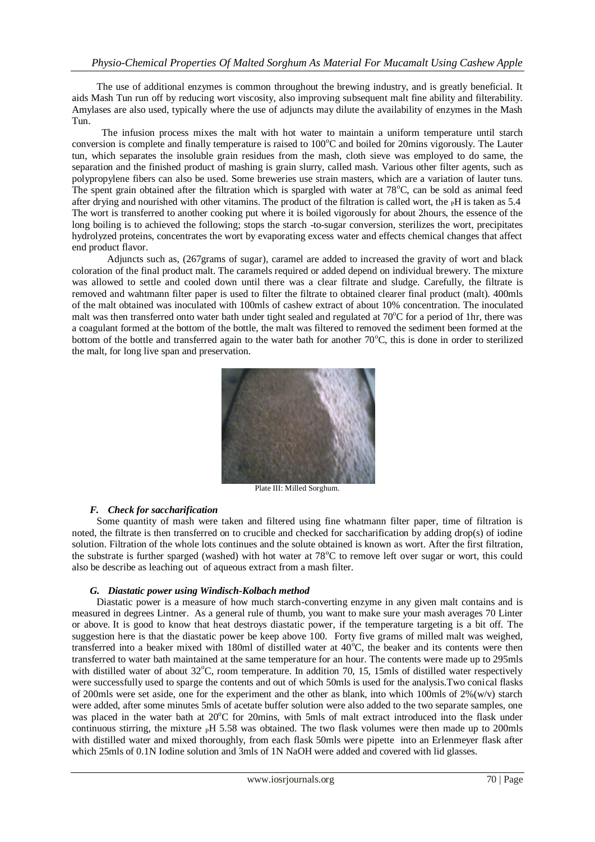The use of additional enzymes is common throughout the brewing industry, and is greatly beneficial. It aids Mash Tun run off by reducing wort viscosity, also improving subsequent malt fine ability and filterability. Amylases are also used, typically where the use of adjuncts may dilute the availability of enzymes in the Mash Tun.

 The infusion process mixes the malt with hot water to maintain a uniform temperature until starch conversion is complete and finally temperature is raised to  $100^{\circ}$ C and boiled for 20mins vigorously. The Lauter tun, which separates the insoluble grain residues from the mash, cloth sieve was employed to do same, the separation and the finished product of mashing is grain slurry, called mash. Various other filter agents, such as polypropylene fibers can also be used. Some breweries use strain masters, which are a variation of lauter tuns. The spent grain obtained after the filtration which is spargled with water at  $78^{\circ}$ C, can be sold as animal feed after drying and nourished with other vitamins. The product of the filtration is called wort, the  $\rm _PH$  is taken as 5.4 The wort is transferred to another cooking put where it is boiled vigorously for about 2hours, the essence of the long boiling is to achieved the following; stops the starch -to-sugar conversion, sterilizes the wort, precipitates hydrolyzed proteins, concentrates the wort by evaporating excess water and effects chemical changes that affect end product flavor.

Adjuncts such as, (267grams of sugar), caramel are added to increased the gravity of wort and black coloration of the final product malt. The caramels required or added depend on individual brewery. The mixture was allowed to settle and cooled down until there was a clear filtrate and sludge. Carefully, the filtrate is removed and wahtmann filter paper is used to filter the filtrate to obtained clearer final product (malt). 400mls of the malt obtained was inoculated with 100mls of cashew extract of about 10% concentration. The inoculated malt was then transferred onto water bath under tight sealed and regulated at  $70^{\circ}$ C for a period of 1hr, there was a coagulant formed at the bottom of the bottle, the malt was filtered to removed the sediment been formed at the bottom of the bottle and transferred again to the water bath for another  $70^{\circ}$ C, this is done in order to sterilized the malt, for long live span and preservation.



Plate III: Milled Sorghum.

#### *F. Check for saccharification*

 Some quantity of mash were taken and filtered using fine whatmann filter paper, time of filtration is noted, the filtrate is then transferred on to crucible and checked for saccharification by adding drop(s) of iodine solution. Filtration of the whole lots continues and the solute obtained is known as wort. After the first filtration, the substrate is further sparged (washed) with hot water at  $78^{\circ}$ C to remove left over sugar or wort, this could also be describe as leaching out of aqueous extract from a mash filter.

#### *G. Diastatic power using Windisch-Kolbach method*

 Diastatic power is a measure of how much starch-converting enzyme in any given malt contains and is measured in degrees Lintner. As a general rule of thumb, you want to make sure your mash averages 70 Linter or above. It is good to know that heat destroys diastatic power, if the temperature targeting is a bit off. The suggestion here is that the diastatic power be keep above 100. Forty five grams of milled malt was weighed, transferred into a beaker mixed with 180ml of distilled water at  $40^{\circ}$ C, the beaker and its contents were then transferred to water bath maintained at the same temperature for an hour. The contents were made up to 295mls with distilled water of about  $32^{\circ}$ C, room temperature. In addition 70, 15, 15mls of distilled water respectively were successfully used to sparge the contents and out of which 50mls is used for the analysis.Two conical flasks of 200mls were set aside, one for the experiment and the other as blank, into which 100mls of  $2\%$  (w/v) starch were added, after some minutes 5mls of acetate buffer solution were also added to the two separate samples, one was placed in the water bath at 20°C for 20mins, with 5mls of malt extract introduced into the flask under continuous stirring, the mixture  $\rm{pH}$  5.58 was obtained. The two flask volumes were then made up to 200mls with distilled water and mixed thoroughly, from each flask 50mls were pipette into an Erlenmeyer flask after which 25mls of 0.1N Iodine solution and 3mls of 1N NaOH were added and covered with lid glasses.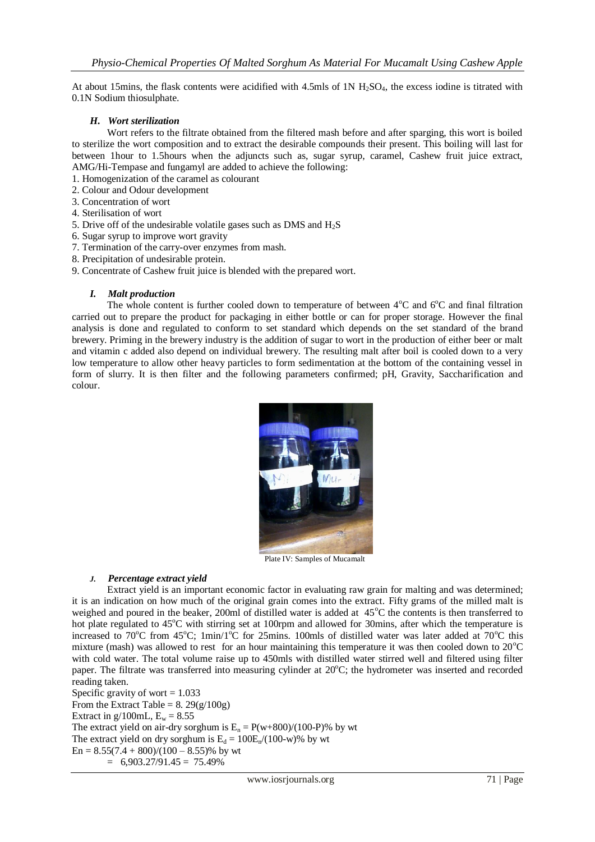At about 15mins, the flask contents were acidified with 4.5mls of  $1N H<sub>2</sub>SO<sub>4</sub>$ , the excess iodine is titrated with 0.1N Sodium thiosulphate.

#### *H. Wort sterilization*

Wort refers to the filtrate obtained from the filtered mash before and after sparging, this wort is boiled to sterilize the wort composition and to extract the desirable compounds their present. This boiling will last for between 1hour to 1.5hours when the adjuncts such as, sugar syrup, caramel, Cashew fruit juice extract, AMG/Hi-Tempase and fungamyl are added to achieve the following:

- 1. Homogenization of the caramel as colourant
- 2. Colour and Odour development
- 3. Concentration of wort
- 4. Sterilisation of wort
- 5. Drive off of the undesirable volatile gases such as DMS and  $H_2S$
- 6. Sugar syrup to improve wort gravity
- 7. Termination of the carry-over enzymes from mash.
- 8. Precipitation of undesirable protein.
- 9. Concentrate of Cashew fruit juice is blended with the prepared wort.

#### *I. Malt production*

The whole content is further cooled down to temperature of between  $4^{\circ}$ C and  $6^{\circ}$ C and final filtration carried out to prepare the product for packaging in either bottle or can for proper storage. However the final analysis is done and regulated to conform to set standard which depends on the set standard of the brand brewery. Priming in the brewery industry is the addition of sugar to wort in the production of either beer or malt and vitamin c added also depend on individual brewery. The resulting malt after boil is cooled down to a very low temperature to allow other heavy particles to form sedimentation at the bottom of the containing vessel in form of slurry. It is then filter and the following parameters confirmed; pH, Gravity, Saccharification and colour.



Plate IV: Samples of Mucamalt

#### *J. Percentage extract yield*

Extract yield is an important economic factor in evaluating raw grain for malting and was determined; it is an indication on how much of the original grain comes into the extract. Fifty grams of the milled malt is weighed and poured in the beaker, 200ml of distilled water is added at  $45^{\circ}$ C the contents is then transferred to hot plate regulated to 45<sup>o</sup>C with stirring set at 100rpm and allowed for 30mins, after which the temperature is increased to 70 $\rm^{\circ}C$  from 45 $\rm^{\circ}C$ ; 1min/1 $\rm^{\circ}C$  for 25mins. 100mls of distilled water was later added at 70 $\rm^{\circ}C$  this mixture (mash) was allowed to rest for an hour maintaining this temperature it was then cooled down to  $20^{\circ}$ C with cold water. The total volume raise up to 450mls with distilled water stirred well and filtered using filter paper. The filtrate was transferred into measuring cylinder at  $20^{\circ}$ C; the hydrometer was inserted and recorded reading taken.

Specific gravity of wort  $= 1.033$ From the Extract Table =  $8.29(g/100g)$ Extract in g/100mL,  $E_w = 8.55$ The extract yield on air-dry sorghum is  $E_n = P(w+800)/(100-P)\%$  by wt The extract yield on dry sorghum is  $E_d = 100E_p/(100-w)$ % by wt  $En = 8.55(7.4 + 800)/(100 - 8.55)\%$  by wt  $= 6,903.27/91.45 = 75.49\%$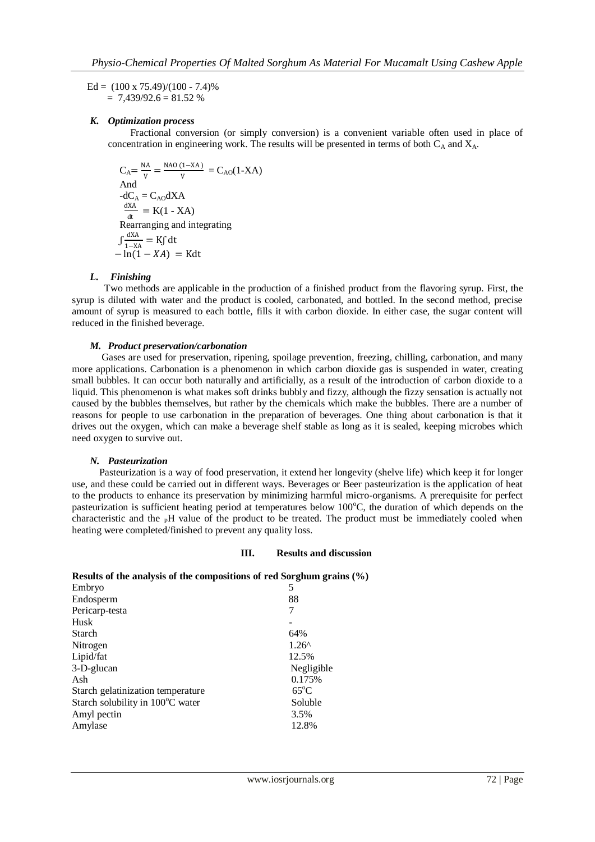Ed =  $(100 \times 75.49)/(100 - 7.4)\%$  $= 7.439/92.6 = 81.52 %$ 

#### *K. Optimization process*

 Fractional conversion (or simply conversion) is a convenient variable often used in place of concentration in engineering work. The results will be presented in terms of both  $C_A$  and  $X_A$ .

$$
C_A = \frac{NA}{v} = \frac{NA0 (1 - XA)}{v} = C_{AO}(1 - XA)
$$
  
And  
-dC<sub>A</sub> = C<sub>AO</sub>dXA  

$$
\frac{dXA}{dt} = K(1 - XA)
$$
  
Rearranging and integrating  

$$
\int \frac{dXA}{1 - XA} = K\int dt
$$

$$
- \ln(1 - XA) = Kdt
$$

#### *L. Finishing*

 Two methods are applicable in the production of a finished product from the flavoring syrup. First, the syrup is diluted with water and the product is cooled, carbonated, and bottled. In the second method, precise amount of syrup is measured to each bottle, fills it with carbon dioxide. In either case, the sugar content will reduced in the finished beverage.

#### *M. Product preservation/carbonation*

Gases are used for preservation, ripening, spoilage prevention, freezing, chilling, carbonation, and many more applications. Carbonation is a phenomenon in which [carbon](http://www.wisegeek.com/what-is-carbon.htm) dioxide gas is suspended in water, creating small bubbles. It can occur both naturally and artificially, as a result of the introduction of [carbon dioxide](http://www.wisegeek.com/what-is-carbon-dioxide.htm) to a liquid. This phenomenon is what makes [soft drinks](http://www.wisegeek.com/what-are-soft-drinks.htm) bubbly and fizzy, although the fizzy sensation is actually not caused by the bubbles themselves, but rather by the chemicals which make the bubbles. There are a number of reasons for people to use carbonation in the preparation of beverages. One thing about carbonation is that it drives out the oxygen, which can make a beverage shelf stable as long as it is sealed, keeping microbes which need oxygen to survive out.

#### *N. Pasteurization*

Pasteurization is a way of food preservation, it extend her longevity (shelve life) which keep it for longer use, and these could be carried out in different ways. Beverages or Beer pasteurization is the application of heat to the products to enhance its preservation by minimizing harmful micro-organisms. A prerequisite for perfect pasteurization is sufficient heating period at temperatures below  $100^{\circ}$ C, the duration of which depends on the characteristic and the  $p$ H value of the product to be treated. The product must be immediately cooled when heating were completed/finished to prevent any quality loss.

#### **III. Results and discussion**

| Results of the analysis of the compositions of red Sorghum grains (%) |                |
|-----------------------------------------------------------------------|----------------|
| Embryo                                                                | 5              |
| Endosperm                                                             | 88             |
| Pericarp-testa                                                        | 7              |
| Husk                                                                  |                |
| <b>Starch</b>                                                         | 64%            |
| Nitrogen                                                              | $1.26^{\circ}$ |
| Lipid/fat                                                             | 12.5%          |
| 3-D-glucan                                                            | Negligible     |
| Ash                                                                   | 0.175%         |
| Starch gelatinization temperature                                     | $65^{\circ}$ C |
| Starch solubility in 100°C water                                      | Soluble        |
| Amyl pectin                                                           | 3.5%           |
| Amylase                                                               | 12.8%          |
|                                                                       |                |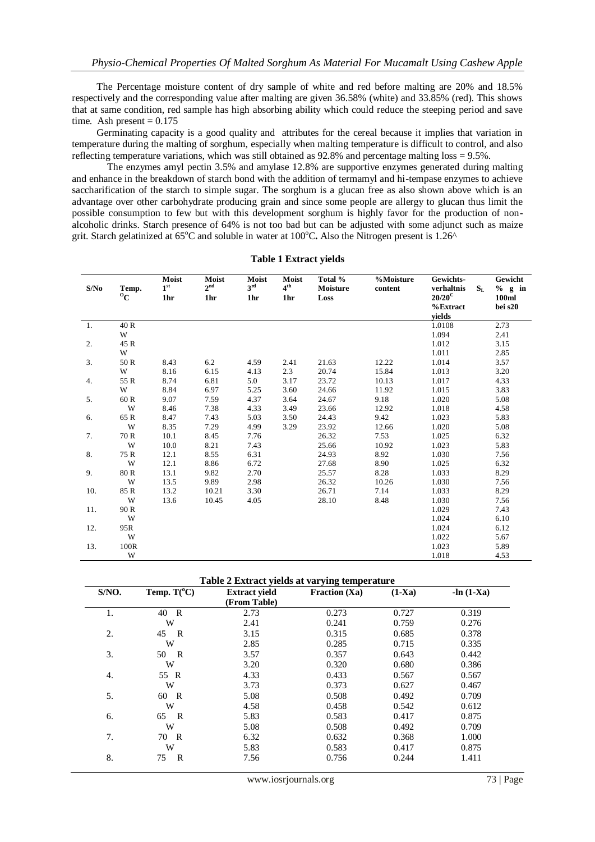The Percentage moisture content of dry sample of white and red before malting are 20% and 18.5% respectively and the corresponding value after malting are given 36.58% (white) and 33.85% (red). This shows that at same condition, red sample has high absorbing ability which could reduce the steeping period and save time. Ash present  $= 0.175$ 

 Germinating capacity is a good quality and attributes for the cereal because it implies that variation in temperature during the malting of sorghum, especially when malting temperature is difficult to control, and also reflecting temperature variations, which was still obtained as 92.8% and percentage malting loss = 9.5%.

The enzymes amyl pectin 3.5% and amylase 12.8% are supportive enzymes generated during malting and enhance in the breakdown of starch bond with the addition of termamyl and hi-tempase enzymes to achieve saccharification of the starch to simple sugar. The sorghum is a glucan free as also shown above which is an advantage over other carbohydrate producing grain and since some people are allergy to glucan thus limit the possible consumption to few but with this development sorghum is highly favor for the production of nonalcoholic drinks. Starch presence of 64% is not too bad but can be adjusted with some adjunct such as maize grit. Starch gelatinized at 65<sup>o</sup>C and soluble in water at 100<sup>o</sup>C. Also the Nitrogen present is 1.26<sup>^</sup>

| S/No | Temp.<br>$\rm ^{o}C$ | Moist<br>1 <sup>st</sup><br>1hr | Moist<br>2 <sup>nd</sup><br>1hr | Moist<br>$3^{\rm rd}$<br>1hr | Moist<br>4 <sup>th</sup><br>1hr | Total %<br>Moisture<br>Loss | %Moisture<br>content | Gewichts-<br>verhaltnis<br>$20/20^{\circ}$<br>$%$ Extract | $S_{L}$ | Gewicht<br>$%$ g in<br>100ml<br>bei s20 |
|------|----------------------|---------------------------------|---------------------------------|------------------------------|---------------------------------|-----------------------------|----------------------|-----------------------------------------------------------|---------|-----------------------------------------|
|      |                      |                                 |                                 |                              |                                 |                             |                      | vields                                                    |         |                                         |
| 1.   | 40 R                 |                                 |                                 |                              |                                 |                             |                      | 1.0108                                                    |         | 2.73                                    |
|      | W                    |                                 |                                 |                              |                                 |                             |                      | 1.094                                                     |         | 2.41                                    |
| 2.   | 45 R                 |                                 |                                 |                              |                                 |                             |                      | 1.012                                                     |         | 3.15                                    |
|      | W                    |                                 |                                 |                              |                                 |                             |                      | 1.011                                                     |         | 2.85                                    |
| 3.   | 50 R                 | 8.43                            | 6.2                             | 4.59                         | 2.41                            | 21.63                       | 12.22                | 1.014                                                     |         | 3.57                                    |
|      | W                    | 8.16                            | 6.15                            | 4.13                         | 2.3                             | 20.74                       | 15.84                | 1.013                                                     |         | 3.20                                    |
| 4.   | 55 R                 | 8.74                            | 6.81                            | 5.0                          | 3.17                            | 23.72                       | 10.13                | 1.017                                                     |         | 4.33                                    |
|      | W                    | 8.84                            | 6.97                            | 5.25                         | 3.60                            | 24.66                       | 11.92                | 1.015                                                     |         | 3.83                                    |
| 5.   | 60 R                 | 9.07                            | 7.59                            | 4.37                         | 3.64                            | 24.67                       | 9.18                 | 1.020                                                     |         | 5.08                                    |
|      | W                    | 8.46                            | 7.38                            | 4.33                         | 3.49                            | 23.66                       | 12.92                | 1.018                                                     |         | 4.58                                    |
| 6.   | 65 R                 | 8.47                            | 7.43                            | 5.03                         | 3.50                            | 24.43                       | 9.42                 | 1.023                                                     |         | 5.83                                    |
|      | W                    | 8.35                            | 7.29                            | 4.99                         | 3.29                            | 23.92                       | 12.66                | 1.020                                                     |         | 5.08                                    |
| 7.   | 70 R                 | 10.1                            | 8.45                            | 7.76                         |                                 | 26.32                       | 7.53                 | 1.025                                                     |         | 6.32                                    |
|      | W                    | 10.0                            | 8.21                            | 7.43                         |                                 | 25.66                       | 10.92                | 1.023                                                     |         | 5.83                                    |
| 8.   | 75 R                 | 12.1                            | 8.55                            | 6.31                         |                                 | 24.93                       | 8.92                 | 1.030                                                     |         | 7.56                                    |
|      | W                    | 12.1                            | 8.86                            | 6.72                         |                                 | 27.68                       | 8.90                 | 1.025                                                     |         | 6.32                                    |
| 9.   | 80 R                 | 13.1                            | 9.82                            | 2.70                         |                                 | 25.57                       | 8.28                 | 1.033                                                     |         | 8.29                                    |
|      | W                    | 13.5                            | 9.89                            | 2.98                         |                                 | 26.32                       | 10.26                | 1.030                                                     |         | 7.56                                    |
| 10.  | 85 R                 | 13.2                            | 10.21                           | 3.30                         |                                 | 26.71                       | 7.14                 | 1.033                                                     |         | 8.29                                    |
|      | W                    | 13.6                            | 10.45                           | 4.05                         |                                 | 28.10                       | 8.48                 | 1.030                                                     |         | 7.56                                    |
| 11.  | 90 R                 |                                 |                                 |                              |                                 |                             |                      | 1.029                                                     |         | 7.43                                    |
|      | W                    |                                 |                                 |                              |                                 |                             |                      | 1.024                                                     |         | 6.10                                    |
| 12.  | 95R                  |                                 |                                 |                              |                                 |                             |                      | 1.024                                                     |         | 6.12                                    |
|      | W                    |                                 |                                 |                              |                                 |                             |                      | 1.022                                                     |         | 5.67                                    |
| 13.  | 100R                 |                                 |                                 |                              |                                 |                             |                      | 1.023                                                     |         | 5.89                                    |
|      | W                    |                                 |                                 |                              |                                 |                             |                      | 1.018                                                     |         | 4.53                                    |

**Table 1 Extract yields**

| S/NO. | Temp. $T(^{\circ}C)$ | <b>Extract yield</b><br>(From Table) | <b>Entruct</b> fictus ut varying temperature<br>Fraction $(Xa)$ | $(1-Xa)$ | $-ln(1-Xa)$ |
|-------|----------------------|--------------------------------------|-----------------------------------------------------------------|----------|-------------|
| 1.    | $\mathbb{R}$<br>40   | 2.73                                 | 0.273                                                           | 0.727    | 0.319       |
|       | W                    | 2.41                                 | 0.241                                                           | 0.759    | 0.276       |
| 2.    | 45<br>R              | 3.15                                 | 0.315                                                           | 0.685    | 0.378       |
|       | W                    | 2.85                                 | 0.285                                                           | 0.715    | 0.335       |
| 3.    | $\mathbb{R}$<br>50   | 3.57                                 | 0.357                                                           | 0.643    | 0.442       |
|       | W                    | 3.20                                 | 0.320                                                           | 0.680    | 0.386       |
| 4.    | 55 R                 | 4.33                                 | 0.433                                                           | 0.567    | 0.567       |
|       | W                    | 3.73                                 | 0.373                                                           | 0.627    | 0.467       |
| 5.    | $\mathbb{R}$<br>60   | 5.08                                 | 0.508                                                           | 0.492    | 0.709       |
|       | W                    | 4.58                                 | 0.458                                                           | 0.542    | 0.612       |
| 6.    | $\mathbf R$<br>65    | 5.83                                 | 0.583                                                           | 0.417    | 0.875       |
|       | W                    | 5.08                                 | 0.508                                                           | 0.492    | 0.709       |
| 7.    | 70 R                 | 6.32                                 | 0.632                                                           | 0.368    | 1.000       |
|       | W                    | 5.83                                 | 0.583                                                           | 0.417    | 0.875       |
| 8.    | R<br>75              | 7.56                                 | 0.756                                                           | 0.244    | 1.411       |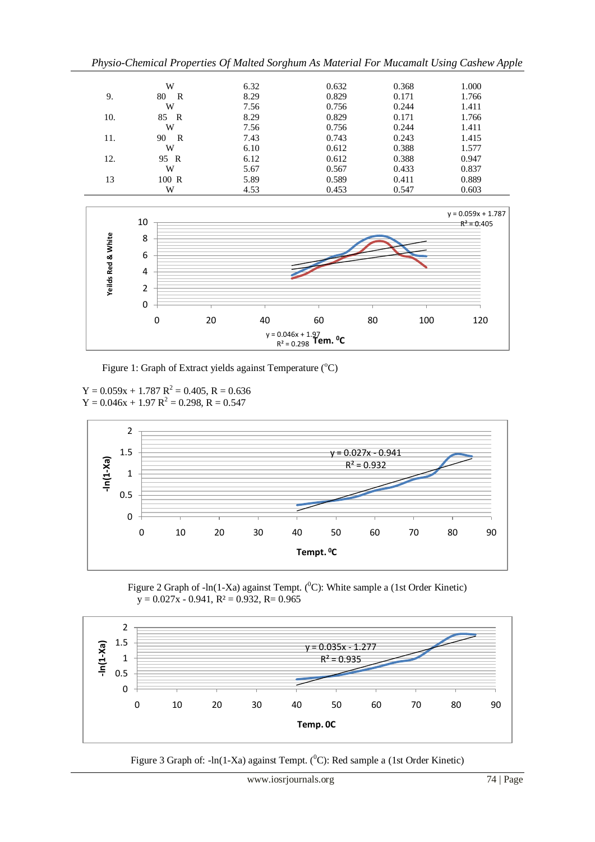*Physio-Chemical Properties Of Malted Sorghum As Material For Mucamalt Using Cashew Apple* 

|     | W        | 6.32 | 0.632 | 0.368 | 1.000 |
|-----|----------|------|-------|-------|-------|
| 9.  | 80<br>R  | 8.29 | 0.829 | 0.171 | 1.766 |
|     | W        | 7.56 | 0.756 | 0.244 | 1.411 |
| 10. | 85.<br>R | 8.29 | 0.829 | 0.171 | 1.766 |
|     | W        | 7.56 | 0.756 | 0.244 | 1.411 |
| 11. | 90<br>R  | 7.43 | 0.743 | 0.243 | 1.415 |
|     | W        | 6.10 | 0.612 | 0.388 | 1.577 |
| 12. | 95 R     | 6.12 | 0.612 | 0.388 | 0.947 |
|     | W        | 5.67 | 0.567 | 0.433 | 0.837 |
| 13  | 100 R    | 5.89 | 0.589 | 0.411 | 0.889 |
|     | W        | 4.53 | 0.453 | 0.547 | 0.603 |



Figure 1: Graph of Extract yields against Temperature (<sup>o</sup>C)

 $Y = 0.059x + 1.787 R^2 = 0.405, R = 0.636$  $Y = 0.046x + 1.97 R^2 = 0.298, R = 0.547$ 



Figure 2 Graph of -ln(1-Xa) against Tempt. ( ${}^{0}C$ ): White sample a (1st Order Kinetic)  $y = 0.027x - 0.941$ ,  $R^2 = 0.932$ ,  $R = 0.965$ 



Figure 3 Graph of:  $-\ln(1-Xa)$  against Tempt. (<sup>0</sup>C): Red sample a (1st Order Kinetic)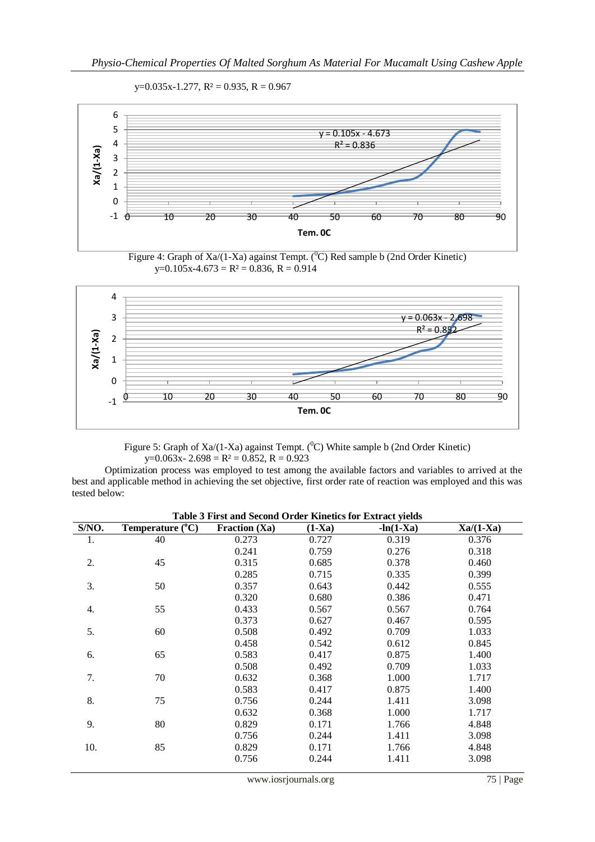







Figure 5: Graph of Xa/(1-Xa) against Tempt. ( ${}^{0}$ C) White sample b (2nd Order Kinetic)  $y=0.063x-2.698 = R^2 = 0.852, R = 0.923$ 

 Optimization process was employed to test among the available factors and variables to arrived at the best and applicable method in achieving the set objective, first order rate of reaction was employed and this was tested below:

| Table 3 First and Second Order Kinetics for Extract yields |                           |                 |          |             |             |  |
|------------------------------------------------------------|---------------------------|-----------------|----------|-------------|-------------|--|
| S/NO.                                                      | Temperature $(^{\circ}C)$ | Fraction $(Xa)$ | $(1-Xa)$ | $-ln(1-Xa)$ | $Xa/(1-Xa)$ |  |
| 1.                                                         | 40                        | 0.273           | 0.727    | 0.319       | 0.376       |  |
|                                                            |                           | 0.241           | 0.759    | 0.276       | 0.318       |  |
| 2.                                                         | 45                        | 0.315           | 0.685    | 0.378       | 0.460       |  |
|                                                            |                           | 0.285           | 0.715    | 0.335       | 0.399       |  |
| 3.                                                         | 50                        | 0.357           | 0.643    | 0.442       | 0.555       |  |
|                                                            |                           | 0.320           | 0.680    | 0.386       | 0.471       |  |
| 4.                                                         | 55                        | 0.433           | 0.567    | 0.567       | 0.764       |  |
|                                                            |                           | 0.373           | 0.627    | 0.467       | 0.595       |  |
| 5.                                                         | 60                        | 0.508           | 0.492    | 0.709       | 1.033       |  |
|                                                            |                           | 0.458           | 0.542    | 0.612       | 0.845       |  |
| 6.                                                         | 65                        | 0.583           | 0.417    | 0.875       | 1.400       |  |
|                                                            |                           | 0.508           | 0.492    | 0.709       | 1.033       |  |
| 7.                                                         | 70                        | 0.632           | 0.368    | 1.000       | 1.717       |  |
|                                                            |                           | 0.583           | 0.417    | 0.875       | 1.400       |  |
| 8.                                                         | 75                        | 0.756           | 0.244    | 1.411       | 3.098       |  |
|                                                            |                           | 0.632           | 0.368    | 1.000       | 1.717       |  |
| 9.                                                         | 80                        | 0.829           | 0.171    | 1.766       | 4.848       |  |
|                                                            |                           | 0.756           | 0.244    | 1.411       | 3.098       |  |
| 10.                                                        | 85                        | 0.829           | 0.171    | 1.766       | 4.848       |  |
|                                                            |                           | 0.756           | 0.244    | 1.411       | 3.098       |  |
|                                                            |                           |                 |          |             |             |  |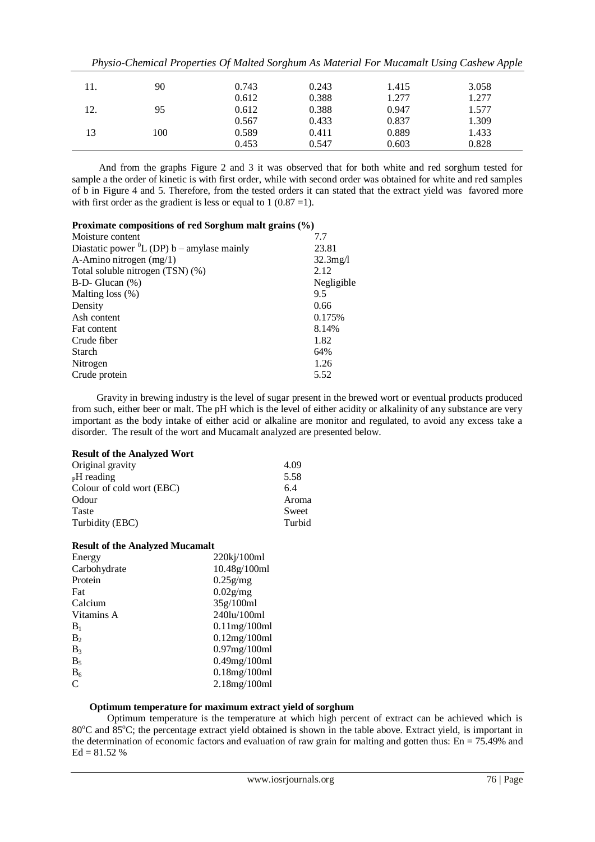|     |     |       |       |       | тијаю спетеш гторениев од танеш вогдишн гв танении гот тиешний овик, савие и гррце |
|-----|-----|-------|-------|-------|------------------------------------------------------------------------------------|
| 11. | 90  | 0.743 | 0.243 | 1.415 | 3.058                                                                              |
|     |     | 0.612 | 0.388 | 1.277 | 1.277                                                                              |
| 12. | 95  | 0.612 | 0.388 | 0.947 | 1.577                                                                              |
|     |     | 0.567 | 0.433 | 0.837 | 1.309                                                                              |
| 13  | 100 | 0.589 | 0.411 | 0.889 | 1.433                                                                              |
|     |     | 0.453 | 0.547 | 0.603 | 0.828                                                                              |

*Physio-Chemical Properties Of Malted Sorghum As Material For Mucamalt Using Cashew Apple* 

 And from the graphs Figure 2 and 3 it was observed that for both white and red sorghum tested for sample a the order of kinetic is with first order, while with second order was obtained for white and red samples of b in Figure 4 and 5. Therefore, from the tested orders it can stated that the extract yield was favored more with first order as the gradient is less or equal to  $1 (0.87 = 1)$ .

## **Proximate compositions of red Sorghum malt grains (%)**

| Moisture content                                  | 7.7         |
|---------------------------------------------------|-------------|
| Diastatic power ${}^{0}L$ (DP) b – amylase mainly | 23.81       |
| A-Amino nitrogen $(mg/1)$                         | $32.3$ mg/l |
| Total soluble nitrogen (TSN) (%)                  | 2.12        |
| $B-D- Glucan$ (%)                                 | Negligible  |
| Malting loss $(\%)$                               | 9.5         |
| Density                                           | 0.66        |
| Ash content                                       | 0.175%      |
| Fat content                                       | 8.14%       |
| Crude fiber                                       | 1.82        |
| <b>Starch</b>                                     | 64%         |
| Nitrogen                                          | 1.26        |
| Crude protein                                     | 5.52        |
|                                                   |             |

 Gravity in brewing industry is the level of sugar present in the brewed wort or eventual products produced from such, either beer or malt. The pH which is the level of either acidity or alkalinity of any substance are very important as the body intake of either acid or alkaline are monitor and regulated, to avoid any excess take a disorder. The result of the wort and Mucamalt analyzed are presented below.

## **Result of the Analyzed Wort**

| Original gravity          | 4.09   |
|---------------------------|--------|
| <sub>P</sub> H reading    | 5.58   |
| Colour of cold wort (EBC) | 6.4    |
| Odour                     | Aroma  |
| <b>Taste</b>              | Sweet  |
| Turbidity (EBC)           | Turbid |
|                           |        |

## **Result of the Analyzed Mucamalt**

| Energy         | 220kj/100ml      |
|----------------|------------------|
| Carbohydrate   | 10.48g/100ml     |
| Protein        | $0.25$ g/mg      |
| Fat            | $0.02$ g/mg      |
| Calcium        | 35g/100ml        |
| Vitamins A     | 240lu/100ml      |
| $B_1$          | $0.11$ mg/100 ml |
| B <sub>2</sub> | 0.12mg/100ml     |
| $B_3$          | $0.97$ mg/100ml  |
| $B_5$          | $0.49$ mg/100ml  |
| $B_6$          | $0.18$ mg/100ml  |
| C              | 2.18mg/100ml     |

# **Optimum temperature for maximum extract yield of sorghum**

Optimum temperature is the temperature at which high percent of extract can be achieved which is 80<sup>o</sup>C and 85<sup>o</sup>C; the percentage extract yield obtained is shown in the table above. Extract yield, is important in the determination of economic factors and evaluation of raw grain for malting and gotten thus:  $En = 75.49\%$  and  $Ed = 81.52 %$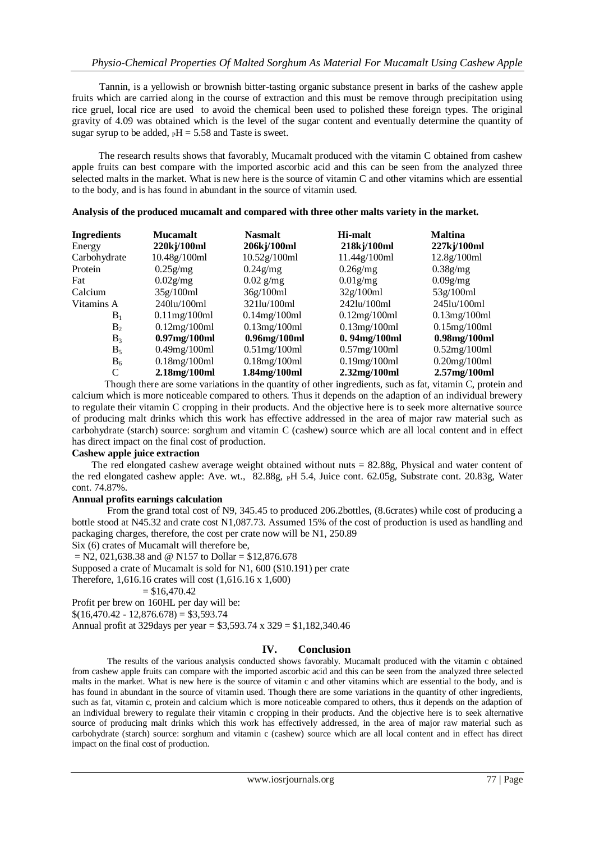Tannin, is a yellowish or brownish bitter-tasting organic substance present in barks of the cashew apple fruits which are carried along in the course of extraction and this must be remove through precipitation using rice gruel, local rice are used to avoid the chemical been used to polished these foreign types. The original gravity of 4.09 was obtained which is the level of the sugar content and eventually determine the quantity of sugar syrup to be added,  $_{\text{P}}H = 5.58$  and Taste is sweet.

 The research results shows that favorably, Mucamalt produced with the vitamin C obtained from cashew apple fruits can best compare with the imported ascorbic acid and this can be seen from the analyzed three selected malts in the market. What is new here is the source of vitamin C and other vitamins which are essential to the body, and is has found in abundant in the source of vitamin used.

| <b>Ingredients</b> | <b>Mucamalt</b>     | <b>Nasmalt</b>      | Hi-malt             | <b>Maltina</b>      |
|--------------------|---------------------|---------------------|---------------------|---------------------|
| Energy             | 220kj/100ml         | 206kj/100ml         | 218kj/100ml         | $227$ kj/100ml      |
| Carbohydrate       | 10.48g/100ml        | 10.52g/100ml        | 11.44g/100ml        | 12.8g/100ml         |
| Protein            | $0.25$ g/mg         | $0.24$ g/mg         | $0.26$ g/mg         | $0.38$ g/mg         |
| Fat                | $0.02$ g/mg         | $0.02$ g/mg         | $0.01$ g/mg         | $0.09$ g/mg         |
| Calcium            | 35g/100ml           | 36g/100ml           | 32g/100ml           | 53g/100ml           |
| Vitamins A         | 240lu/100ml         | 321lu/100ml         | 242lu/100ml         | 245lu/100ml         |
| $B_1$              | $0.11$ mg/ $100$ ml | $0.14$ mg/100ml     | 0.12mg/100ml        | $0.13$ mg/ $100$ ml |
| B <sub>2</sub>     | 0.12mg/100ml        | $0.13$ mg/ $100$ ml | $0.13$ mg/ $100$ ml | $0.15$ mg/ $100$ ml |
| $B_3$              | $0.97$ mg/100ml     | $0.96$ mg/ $100$ ml | $0.94$ mg/100ml     | $0.98$ mg/ $100$ ml |
| $B_5$              | $0.49$ mg/100ml     | $0.51$ mg/100 ml    | $0.57$ mg/100ml     | 0.52mg/100ml        |
| $B_6$              | $0.18$ mg/ $100$ ml | $0.18$ mg/ $100$ ml | $0.19$ mg/ $100$ ml | $0.20$ mg/100ml     |
| C                  | 2.18mg/100ml        | 1.84mg/100ml        | 2.32mg/100ml        | $2.57$ mg/100ml     |

**Analysis of the produced mucamalt and compared with three other malts variety in the market.** 

 Though there are some variations in the quantity of other ingredients, such as fat, vitamin C, protein and calcium which is more noticeable compared to others. Thus it depends on the adaption of an individual brewery to regulate their vitamin C cropping in their products. And the objective here is to seek more alternative source of producing malt drinks which this work has effective addressed in the area of major raw material such as carbohydrate (starch) source: sorghum and vitamin C (cashew) source which are all local content and in effect has direct impact on the final cost of production.

#### **Cashew apple juice extraction**

The red elongated cashew average weight obtained without nuts = 82.88g, Physical and water content of the red elongated cashew apple: Ave. wt., 82.88g, PH 5.4, Juice cont. 62.05g, Substrate cont. 20.83g, Water cont. 74.87%.

#### **Annual profits earnings calculation**

From the grand total cost of N9, 345.45 to produced 206.2bottles, (8.6crates) while cost of producing a bottle stood at N45.32 and crate cost N1,087.73. Assumed 15% of the cost of production is used as handling and packaging charges, therefore, the cost per crate now will be N1, 250.89

Six (6) crates of Mucamalt will therefore be,

 $=$  N2, 021,638.38 and @ N157 to Dollar = \$12,876.678

Supposed a crate of Mucamalt is sold for N1, 600 (\$10.191) per crate

Therefore, 1,616.16 crates will cost (1,616.16 x 1,600)

 $= $16,470.42$ 

Profit per brew on 160HL per day will be:

 $$(16,470.42 - 12,876.678) = $3,593.74$ 

Annual profit at 329days per year = \$3,593.74 x 329 = \$1,182,340.46

## **IV. Conclusion**

 The results of the various analysis conducted shows favorably. Mucamalt produced with the vitamin c obtained from cashew apple fruits can compare with the imported ascorbic acid and this can be seen from the analyzed three selected malts in the market. What is new here is the source of vitamin c and other vitamins which are essential to the body, and is has found in abundant in the source of vitamin used. Though there are some variations in the quantity of other ingredients, such as fat, vitamin c, protein and calcium which is more noticeable compared to others, thus it depends on the adaption of an individual brewery to regulate their vitamin c cropping in their products. And the objective here is to seek alternative source of producing malt drinks which this work has effectively addressed, in the area of major raw material such as carbohydrate (starch) source: sorghum and vitamin c (cashew) source which are all local content and in effect has direct impact on the final cost of production.